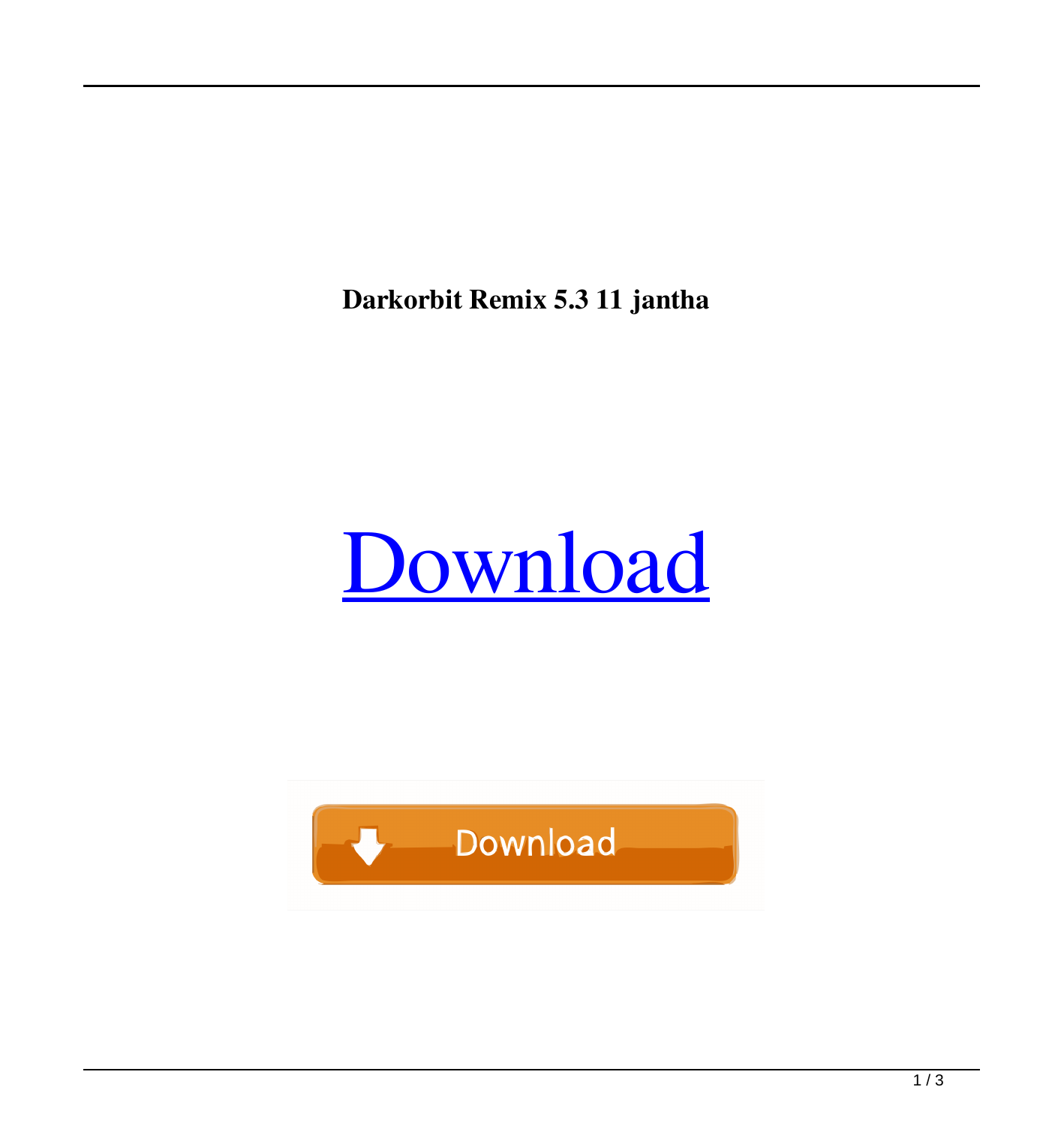**Darkorbit Remix 5.3 11 jantha**



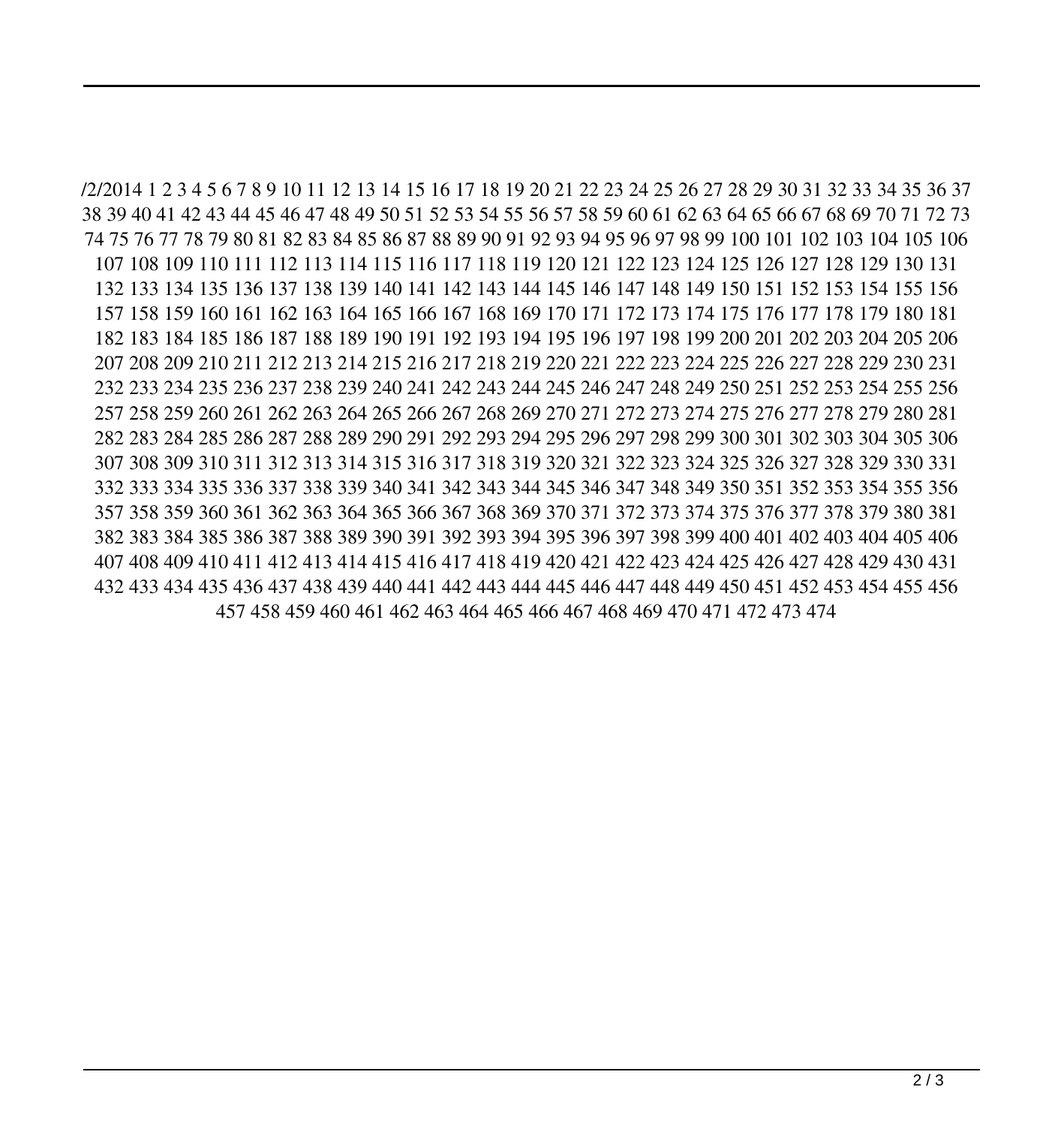/2/2014 1 2 3 4 5 6 7 8 9 10 11 12 13 14 15 16 17 18 19 20 21 22 23 24 25 26 27 28 29 30 31 32 33 34 35 36 37 38 39 40 41 42 43 44 45 46 47 48 49 50 51 52 53 54 55 56 57 58 59 60 61 62 63 64 65 66 67 68 69 70 71 72 73 74 75 76 77 78 79 80 81 82 83 84 85 86 87 88 89 90 91 92 93 94 95 96 97 98 99 100 101 102 103 104 105 106 107 108 109 110 111 112 113 114 115 116 117 118 119 120 121 122 123 124 125 126 127 128 129 130 131 132 133 134 135 136 137 138 139 140 141 142 143 144 145 146 147 148 149 150 151 152 153 154 155 156 157 158 159 160 161 162 163 164 165 166 167 168 169 170 171 172 173 174 175 176 177 178 179 180 181 182 183 184 185 186 187 188 189 190 191 192 193 194 195 196 197 198 199 200 201 202 203 204 205 206 207 208 209 210 211 212 213 214 215 216 217 218 219 220 221 222 223 224 225 226 227 228 229 230 231 232 233 234 235 236 237 238 239 240 241 242 243 244 245 246 247 248 249 250 251 252 253 254 255 256 257 258 259 260 261 262 263 264 265 266 267 268 269 270 271 272 273 274 275 276 277 278 279 280 281 282 283 284 285 286 287 288 289 290 291 292 293 294 295 296 297 298 299 300 301 302 303 304 305 306 307 308 309 310 311 312 313 314 315 316 317 318 319 320 321 322 323 324 325 326 327 328 329 330 331 332 333 334 335 336 337 338 339 340 341 342 343 344 345 346 347 348 349 350 351 352 353 354 355 356 357 358 359 360 361 362 363 364 365 366 367 368 369 370 371 372 373 374 375 376 377 378 379 380 381 382 383 384 385 386 387 388 389 390 391 392 393 394 395 396 397 398 399 400 401 402 403 404 405 406 407 408 409 410 411 412 413 414 415 416 417 418 419 420 421 422 423 424 425 426 427 428 429 430 431 432 433 434 435 436 437 438 439 440 441 442 443 444 445 446 447 448 449 450 451 452 453 454 455 456 457 458 459 460 461 462 463 464 465 466 467 468 469 470 471 472 473 474